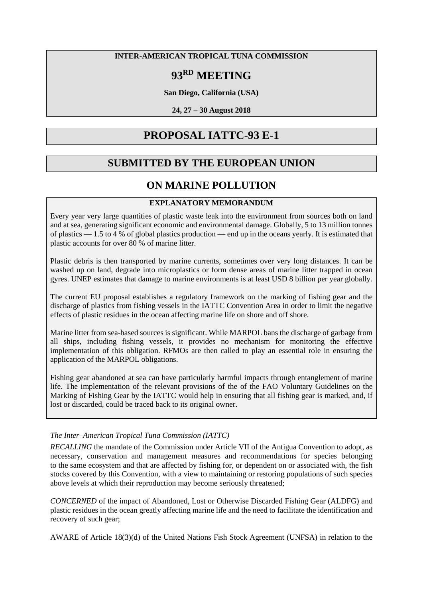### **INTER-AMERICAN TROPICAL TUNA COMMISSION**

# **93RD MEETING**

**San Diego, California (USA)**

**24, 27 – 30 August 2018**

## **PROPOSAL IATTC-93 E-1**

## **SUBMITTED BY THE EUROPEAN UNION**

## **ON MARINE POLLUTION**

## **EXPLANATORY MEMORANDUM**

Every year very large quantities of plastic waste leak into the environment from sources both on land and at sea, generating significant economic and environmental damage. Globally, 5 to 13 million tonnes of plastics — 1.5 to 4 % of global plastics production — end up in the oceans yearly. It is estimated that plastic accounts for over 80 % of marine litter.

Plastic debris is then transported by marine currents, sometimes over very long distances. It can be washed up on land, degrade into microplastics or form dense areas of marine litter trapped in ocean gyres. UNEP estimates that damage to marine environments is at least USD 8 billion per year globally.

The current EU proposal establishes a regulatory framework on the marking of fishing gear and the discharge of plastics from fishing vessels in the IATTC Convention Area in order to limit the negative effects of plastic residues in the ocean affecting marine life on shore and off shore.

Marine litter from sea-based sources is significant. While MARPOL bans the discharge of garbage from all ships, including fishing vessels, it provides no mechanism for monitoring the effective implementation of this obligation. RFMOs are then called to play an essential role in ensuring the application of the MARPOL obligations.

Fishing gear abandoned at sea can have particularly harmful impacts through entanglement of marine life. The implementation of the relevant provisions of the of the FAO Voluntary Guidelines on the Marking of Fishing Gear by the IATTC would help in ensuring that all fishing gear is marked, and, if lost or discarded, could be traced back to its original owner.

## *The Inter–American Tropical Tuna Commission (IATTC)*

*RECALLING* the mandate of the Commission under Article VII of the Antigua Convention to adopt, as necessary, conservation and management measures and recommendations for species belonging to the same ecosystem and that are affected by fishing for, or dependent on or associated with, the fish stocks covered by this Convention, with a view to maintaining or restoring populations of such species above levels at which their reproduction may become seriously threatened;

*CONCERNED* of the impact of Abandoned, Lost or Otherwise Discarded Fishing Gear (ALDFG) and plastic residues in the ocean greatly affecting marine life and the need to facilitate the identification and recovery of such gear;

AWARE of Article 18(3)(d) of the United Nations Fish Stock Agreement (UNFSA) in relation to the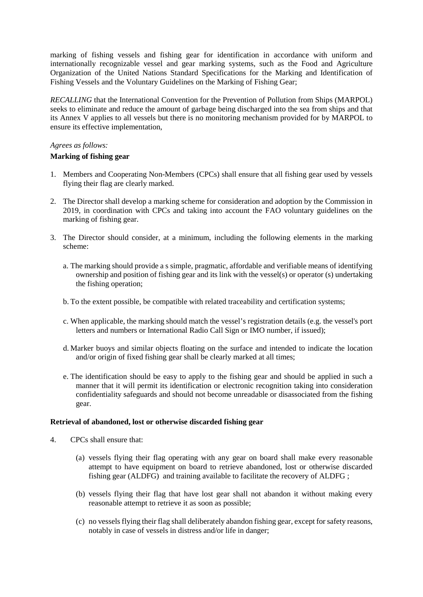marking of fishing vessels and fishing gear for identification in accordance with uniform and internationally recognizable vessel and gear marking systems, such as the Food and Agriculture Organization of the United Nations Standard Specifications for the Marking and Identification of Fishing Vessels and the Voluntary Guidelines on the Marking of Fishing Gear;

*RECALLING* that the International Convention for the Prevention of Pollution from Ships (MARPOL) seeks to eliminate and reduce the amount of garbage being discharged into the sea from ships and that its Annex V applies to all vessels but there is no monitoring mechanism provided for by MARPOL to ensure its effective implementation,

### *Agrees as follows:*

### **Marking of fishing gear**

- 1. Members and Cooperating Non-Members (CPCs) shall ensure that all fishing gear used by vessels flying their flag are clearly marked.
- 2. The Director shall develop a marking scheme for consideration and adoption by the Commission in 2019, in coordination with CPCs and taking into account the FAO voluntary guidelines on the marking of fishing gear.
- 3. The Director should consider, at a minimum, including the following elements in the marking scheme:
	- a. The marking should provide a s simple, pragmatic, affordable and verifiable means of identifying ownership and position of fishing gear and its link with the vessel(s) or operator (s) undertaking the fishing operation;
	- b. To the extent possible, be compatible with related traceability and certification systems;
	- c. When applicable, the marking should match the vessel's registration details (e.g. the vessel's port letters and numbers or International Radio Call Sign or IMO number, if issued);
	- d. Marker buoys and similar objects floating on the surface and intended to indicate the location and/or origin of fixed fishing gear shall be clearly marked at all times;
	- e. The identification should be easy to apply to the fishing gear and should be applied in such a manner that it will permit its identification or electronic recognition taking into consideration confidentiality safeguards and should not become unreadable or disassociated from the fishing gear.

#### **Retrieval of abandoned, lost or otherwise discarded fishing gear**

- 4. CPCs shall ensure that:
	- (a) vessels flying their flag operating with any gear on board shall make every reasonable attempt to have equipment on board to retrieve abandoned, lost or otherwise discarded fishing gear (ALDFG) and training available to facilitate the recovery of ALDFG ;
	- (b) vessels flying their flag that have lost gear shall not abandon it without making every reasonable attempt to retrieve it as soon as possible;
	- (c) no vessels flying their flag shall deliberately abandon fishing gear, except for safety reasons, notably in case of vessels in distress and/or life in danger;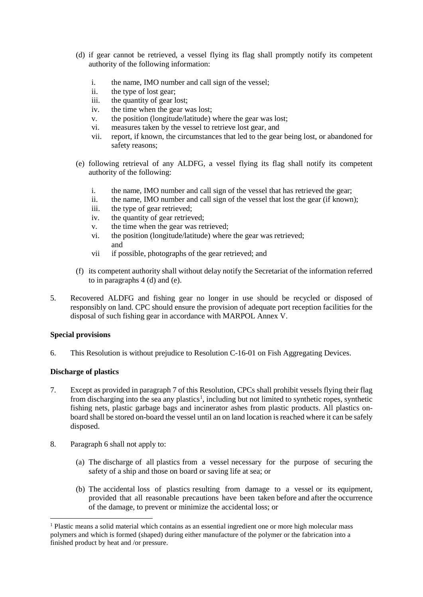- (d) if gear cannot be retrieved, a vessel flying its flag shall promptly notify its competent authority of the following information:
	- i. the name, IMO number and call sign of the vessel;
	- ii. the type of lost gear;
	- iii. the quantity of gear lost;
	- iv. the time when the gear was lost;
	- v. the position (longitude/latitude) where the gear was lost;
	- vi. measures taken by the vessel to retrieve lost gear, and
	- vii. report, if known, the circumstances that led to the gear being lost, or abandoned for safety reasons;
- (e) following retrieval of any ALDFG, a vessel flying its flag shall notify its competent authority of the following:
	- i. the name, IMO number and call sign of the vessel that has retrieved the gear;
	- ii. the name, IMO number and call sign of the vessel that lost the gear (if known);
	- iii. the type of gear retrieved;
	- iv. the quantity of gear retrieved;
	- v. the time when the gear was retrieved;
	- vi. the position (longitude/latitude) where the gear was retrieved; and
	- vii if possible, photographs of the gear retrieved; and
- (f) its competent authority shall without delay notify the Secretariat of the information referred to in paragraphs 4 (d) and (e).
- 5. Recovered ALDFG and fishing gear no longer in use should be recycled or disposed of responsibly on land. CPC should ensure the provision of adequate port reception facilities for the disposal of such fishing gear in accordance with MARPOL Annex V.

#### **Special provisions**

6. This Resolution is without prejudice to Resolution C-16-01 on Fish Aggregating Devices.

#### **Discharge of plastics**

 $\overline{a}$ 

- 7. Except as provided in paragraph 7 of this Resolution, CPCs shall prohibit vessels flying their flag from discharging into the sea any plastics<sup>[1](#page-2-0)</sup>, including but not limited to synthetic ropes, synthetic fishing nets, plastic garbage bags and incinerator ashes from plastic products. All plastics onboard shall be stored on-board the vessel until an on land location is reached where it can be safely disposed.
- 8. Paragraph 6 shall not apply to:
	- (a) The discharge of all plastics from a vessel necessary for the purpose of securing the safety of a ship and those on board or saving life at sea; or
	- (b) The accidental loss of plastics resulting from damage to a vessel or its equipment, provided that all reasonable precautions have been taken before and after the occurrence of the damage, to prevent or minimize the accidental loss; or

<span id="page-2-0"></span> $<sup>1</sup>$  Plastic means a solid material which contains as an essential ingredient one or more high molecular mass</sup> polymers and which is formed (shaped) during either manufacture of the polymer or the fabrication into a finished product by heat and /or pressure.